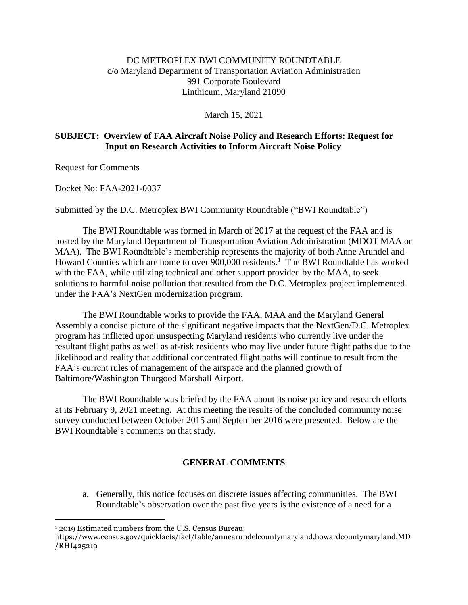## DC METROPLEX BWI COMMUNITY ROUNDTABLE c/o Maryland Department of Transportation Aviation Administration 991 Corporate Boulevard Linthicum, Maryland 21090

March 15, 2021

## **SUBJECT: Overview of FAA Aircraft Noise Policy and Research Efforts: Request for Input on Research Activities to Inform Aircraft Noise Policy**

Request for Comments

Docket No: FAA-2021-0037

Submitted by the D.C. Metroplex BWI Community Roundtable ("BWI Roundtable")

The BWI Roundtable was formed in March of 2017 at the request of the FAA and is hosted by the Maryland Department of Transportation Aviation Administration (MDOT MAA or MAA). The BWI Roundtable's membership represents the majority of both Anne Arundel and Howard Counties which are home to over 900,000 residents.<sup>1</sup> The BWI Roundtable has worked with the FAA, while utilizing technical and other support provided by the MAA, to seek solutions to harmful noise pollution that resulted from the D.C. Metroplex project implemented under the FAA's NextGen modernization program.

The BWI Roundtable works to provide the FAA, MAA and the Maryland General Assembly a concise picture of the significant negative impacts that the NextGen/D.C. Metroplex program has inflicted upon unsuspecting Maryland residents who currently live under the resultant flight paths as well as at-risk residents who may live under future flight paths due to the likelihood and reality that additional concentrated flight paths will continue to result from the FAA's current rules of management of the airspace and the planned growth of Baltimore/Washington Thurgood Marshall Airport.

The BWI Roundtable was briefed by the FAA about its noise policy and research efforts at its February 9, 2021 meeting. At this meeting the results of the concluded community noise survey conducted between October 2015 and September 2016 were presented. Below are the BWI Roundtable's comments on that study.

## **GENERAL COMMENTS**

a. Generally, this notice focuses on discrete issues affecting communities. The BWI Roundtable's observation over the past five years is the existence of a need for a

 $\overline{a}$ <sup>1</sup> 2019 Estimated numbers from the U.S. Census Bureau:

https://www.census.gov/quickfacts/fact/table/annearundelcountymaryland,howardcountymaryland,MD /RHI425219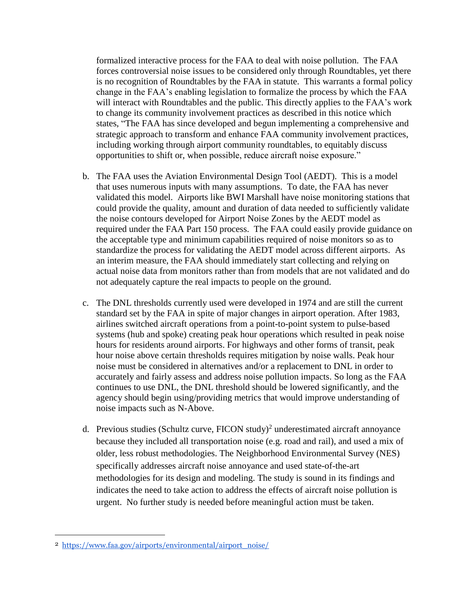formalized interactive process for the FAA to deal with noise pollution. The FAA forces controversial noise issues to be considered only through Roundtables, yet there is no recognition of Roundtables by the FAA in statute. This warrants a formal policy change in the FAA's enabling legislation to formalize the process by which the FAA will interact with Roundtables and the public. This directly applies to the FAA's work to change its community involvement practices as described in this notice which states, "The FAA has since developed and begun implementing a comprehensive and strategic approach to transform and enhance FAA community involvement practices, including working through airport community roundtables, to equitably discuss opportunities to shift or, when possible, reduce aircraft noise exposure."

- b. The FAA uses the Aviation Environmental Design Tool (AEDT). This is a model that uses numerous inputs with many assumptions. To date, the FAA has never validated this model. Airports like BWI Marshall have noise monitoring stations that could provide the quality, amount and duration of data needed to sufficiently validate the noise contours developed for Airport Noise Zones by the AEDT model as required under the FAA Part 150 process. The FAA could easily provide guidance on the acceptable type and minimum capabilities required of noise monitors so as to standardize the process for validating the AEDT model across different airports. As an interim measure, the FAA should immediately start collecting and relying on actual noise data from monitors rather than from models that are not validated and do not adequately capture the real impacts to people on the ground.
- c. The DNL thresholds currently used were developed in 1974 and are still the current standard set by the FAA in spite of major changes in airport operation. After 1983, airlines switched aircraft operations from a point-to-point system to pulse-based systems (hub and spoke) creating peak hour operations which resulted in peak noise hours for residents around airports. For highways and other forms of transit, peak hour noise above certain thresholds requires mitigation by noise walls. Peak hour noise must be considered in alternatives and/or a replacement to DNL in order to accurately and fairly assess and address noise pollution impacts. So long as the FAA continues to use DNL, the DNL threshold should be lowered significantly, and the agency should begin using/providing metrics that would improve understanding of noise impacts such as N-Above.
- d. Previous studies (Schultz curve, FICON study)<sup>2</sup> underestimated aircraft annoyance because they included all transportation noise (e.g. road and rail), and used a mix of older, less robust methodologies. The Neighborhood Environmental Survey (NES) specifically addresses aircraft noise annoyance and used state-of-the-art methodologies for its design and modeling. The study is sound in its findings and indicates the need to take action to address the effects of aircraft noise pollution is urgent. No further study is needed before meaningful action must be taken.

 $\overline{a}$ 

<sup>2</sup> https://www.faa.gov/airports/environmental/airport\_noise/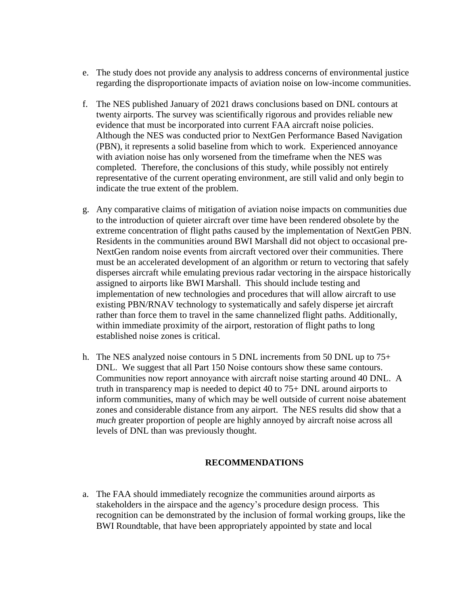- e. The study does not provide any analysis to address concerns of environmental justice regarding the disproportionate impacts of aviation noise on low-income communities.
- f. The NES published January of 2021 draws conclusions based on DNL contours at twenty airports. The survey was scientifically rigorous and provides reliable new evidence that must be incorporated into current FAA aircraft noise policies. Although the NES was conducted prior to NextGen Performance Based Navigation (PBN), it represents a solid baseline from which to work. Experienced annoyance with aviation noise has only worsened from the timeframe when the NES was completed. Therefore, the conclusions of this study, while possibly not entirely representative of the current operating environment, are still valid and only begin to indicate the true extent of the problem.
- g. Any comparative claims of mitigation of aviation noise impacts on communities due to the introduction of quieter aircraft over time have been rendered obsolete by the extreme concentration of flight paths caused by the implementation of NextGen PBN. Residents in the communities around BWI Marshall did not object to occasional pre-NextGen random noise events from aircraft vectored over their communities. There must be an accelerated development of an algorithm or return to vectoring that safely disperses aircraft while emulating previous radar vectoring in the airspace historically assigned to airports like BWI Marshall. This should include testing and implementation of new technologies and procedures that will allow aircraft to use existing PBN/RNAV technology to systematically and safely disperse jet aircraft rather than force them to travel in the same channelized flight paths. Additionally, within immediate proximity of the airport, restoration of flight paths to long established noise zones is critical.
- h. The NES analyzed noise contours in 5 DNL increments from 50 DNL up to  $75+$ DNL. We suggest that all Part 150 Noise contours show these same contours. Communities now report annoyance with aircraft noise starting around 40 DNL. A truth in transparency map is needed to depict 40 to 75+ DNL around airports to inform communities, many of which may be well outside of current noise abatement zones and considerable distance from any airport. The NES results did show that a *much* greater proportion of people are highly annoyed by aircraft noise across all levels of DNL than was previously thought.

## **RECOMMENDATIONS**

a. The FAA should immediately recognize the communities around airports as stakeholders in the airspace and the agency's procedure design process. This recognition can be demonstrated by the inclusion of formal working groups, like the BWI Roundtable, that have been appropriately appointed by state and local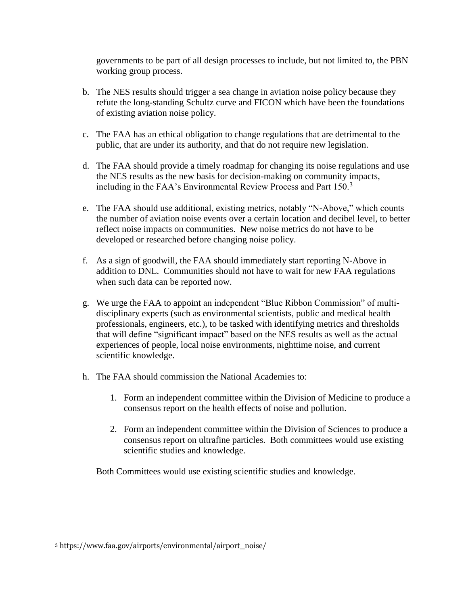governments to be part of all design processes to include, but not limited to, the PBN working group process.

- b. The NES results should trigger a sea change in aviation noise policy because they refute the long-standing Schultz curve and FICON which have been the foundations of existing aviation noise policy.
- c. The FAA has an ethical obligation to change regulations that are detrimental to the public, that are under its authority, and that do not require new legislation.
- d. The FAA should provide a timely roadmap for changing its noise regulations and use the NES results as the new basis for decision-making on community impacts, including in the FAA's Environmental Review Process and Part 150.<sup>3</sup>
- e. The FAA should use additional, existing metrics, notably "N-Above," which counts the number of aviation noise events over a certain location and decibel level, to better reflect noise impacts on communities. New noise metrics do not have to be developed or researched before changing noise policy.
- f. As a sign of goodwill, the FAA should immediately start reporting N-Above in addition to DNL. Communities should not have to wait for new FAA regulations when such data can be reported now.
- g. We urge the FAA to appoint an independent "Blue Ribbon Commission" of multidisciplinary experts (such as environmental scientists, public and medical health professionals, engineers, etc.), to be tasked with identifying metrics and thresholds that will define "significant impact" based on the NES results as well as the actual experiences of people, local noise environments, nighttime noise, and current scientific knowledge.
- h. The FAA should commission the National Academies to:
	- 1. Form an independent committee within the Division of Medicine to produce a consensus report on the health effects of noise and pollution.
	- 2. Form an independent committee within the Division of Sciences to produce a consensus report on ultrafine particles. Both committees would use existing scientific studies and knowledge.

Both Committees would use existing scientific studies and knowledge.

 $\overline{a}$ 

<sup>3</sup> https://www.faa.gov/airports/environmental/airport\_noise/